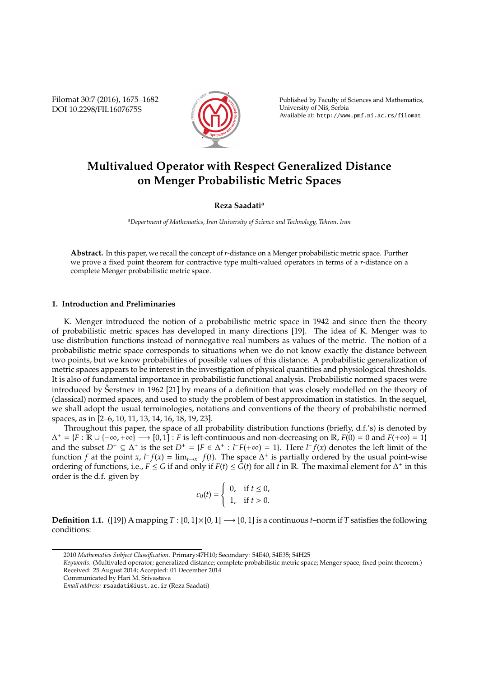Filomat 30:7 (2016), 1675–1682 DOI 10.2298/FIL1607675S



Published by Faculty of Sciences and Mathematics, University of Niš, Serbia Available at: http://www.pmf.ni.ac.rs/filomat

# **Multivalued Operator with Respect Generalized Distance on Menger Probabilistic Metric Spaces**

# **Reza Saadati<sup>a</sup>**

*<sup>a</sup>Department of Mathematics, Iran University of Science and Technology, Tehran, Iran*

**Abstract.** In this paper, we recall the concept of *r*-distance on a Menger probabilistic metric space. Further we prove a fixed point theorem for contractive type multi-valued operators in terms of a *r*-distance on a complete Menger probabilistic metric space.

# **1. Introduction and Preliminaries**

K. Menger introduced the notion of a probabilistic metric space in 1942 and since then the theory of probabilistic metric spaces has developed in many directions [19]. The idea of K. Menger was to use distribution functions instead of nonnegative real numbers as values of the metric. The notion of a probabilistic metric space corresponds to situations when we do not know exactly the distance between two points, but we know probabilities of possible values of this distance. A probabilistic generalization of metric spaces appears to be interest in the investigation of physical quantities and physiological thresholds. It is also of fundamental importance in probabilistic functional analysis. Probabilistic normed spaces were introduced by Serstnev in 1962 [21] by means of a definition that was closely modelled on the theory of (classical) normed spaces, and used to study the problem of best approximation in statistics. In the sequel, we shall adopt the usual terminologies, notations and conventions of the theory of probabilistic normed spaces, as in [2–6, 10, 11, 13, 14, 16, 18, 19, 23].

Throughout this paper, the space of all probability distribution functions (briefly, d.f.'s) is denoted by  $\Delta^+ = \{F : \mathbb{R} \cup \{-\infty, +\infty\} \longrightarrow [0, 1] : F \text{ is left-continuous and non-decreasing on } \mathbb{R}, F(0) = 0 \text{ and } F(+\infty) = 1\}$ and the subset  $D^+ \subseteq \Delta^+$  is the set  $D^+ = \{F \in \Delta^+ : l^F(+\infty) = 1\}$ . Here  $l^F f(x)$  denotes the left limit of the function *f* at the point *x*,  $l^- f(x) = \lim_{t \to x^-} f(t)$ . The space  $\Delta^+$  is partially ordered by the usual point-wise ordering of functions, i.e.,  $F \le G$  if and only if  $F(t) \le G(t)$  for all  $t$  in  $\mathbb R$ . The maximal element for  $\Delta^+$  in this order is the d.f. given by

$$
\varepsilon_0(t) = \begin{cases} 0, & \text{if } t \le 0, \\ 1, & \text{if } t > 0. \end{cases}
$$

**Definition 1.1.** ([19]) A mapping  $T : [0,1] \times [0,1] \rightarrow [0,1]$  is a continuous *t*–norm if *T* satisfies the following conditions:

<sup>2010</sup> *Mathematics Subject Classification*. Primary:47H10; Secondary: 54E40, 54E35; 54H25

*Keywords*. (Multivaled operator; generalized distance; complete probabilistic metric space; Menger space; fixed point theorem.) Received: 25 August 2014; Accepted: 01 December 2014

Communicated by Hari M. Srivastava

*Email address:* rsaadati@iust.ac.ir (Reza Saadati)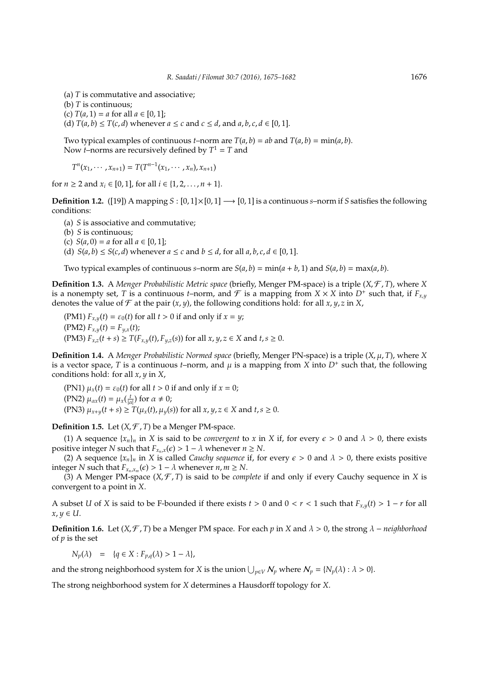- (a) *T* is commutative and associative;
- (b) *T* is continuous;
- (c)  $T(a, 1) = a$  for all  $a \in [0, 1]$ ;
- (d)  $T(a, b) \leq T(c, d)$  whenever  $a \leq c$  and  $c \leq d$ , and  $a, b, c, d \in [0, 1]$ .

Two typical examples of continuous *t*–norm are  $T(a, b) = ab$  and  $T(a, b) = min(a, b)$ . Now *t*–norms are recursively defined by  $T^1 = T$  and

 $T^n(x_1, \cdots, x_{n+1}) = T(T^{n-1}(x_1, \cdots, x_n), x_{n+1})$ 

for  $n \ge 2$  and  $x_i \in [0, 1]$ , for all  $i \in \{1, 2, ..., n + 1\}$ .

**Definition 1.2.** ([19]) A mapping  $S : [0,1] \times [0,1] \rightarrow [0,1]$  is a continuous *s*–norm if *S* satisfies the following conditions:

(a) *S* is associative and commutative;

- (b) *S* is continuous;
- (c)  $S(a, 0) = a$  for all  $a \in [0, 1]$ ;
- (d)  $S(a, b) \le S(c, d)$  whenever  $a \le c$  and  $b \le d$ , for all  $a, b, c, d \in [0, 1]$ .

Two typical examples of continuous *s*–norm are  $S(a, b) = min(a + b, 1)$  and  $S(a, b) = max(a, b)$ .

**Definition 1.3.** A *Menger Probabilistic Metric space* (briefly, Menger PM-space) is a triple (*X*, F , *T*), where *X* is a nonempty set, *T* is a continuous *t*–norm, and *F* is a mapping from  $X \times X$  into  $D^+$  such that, if  $F_{x,y}$ denotes the value of  $\mathcal F$  at the pair  $(x, y)$ , the following conditions hold: for all  $x, y, z$  in  $X$ ,

(PM1)  $F_{x,y}(t) = \varepsilon_0(t)$  for all  $t > 0$  if and only if  $x = y$ ;  $(FM2) F_{x,y}(t) = F_{y,x}(t);$ (PM3)  $F_{x,z}(t + s)$  ≥  $T(F_{x,y}(t), F_{y,z}(s))$  for all  $x, y, z \in X$  and  $t, s ≥ 0$ .

**Definition 1.4.** A *Menger Probabilistic Normed space* (briefly, Menger PN-space) is a triple (*X*, µ, *T*), where *X* is a vector space, *T* is a continuous *t*–norm, and  $\mu$  is a mapping from *X* into  $D^+$  such that, the following conditions hold: for all *x*, *y* in *X*,

(PN1)  $\mu_x(t) = \varepsilon_0(t)$  for all  $t > 0$  if and only if  $x = 0$ ; (PN2)  $\mu_{\alpha x}(t) = \mu_x(\frac{t}{|\alpha|})$  for  $\alpha \neq 0$ ; (PN3)  $\mu_{x+y}(t+s) \geq T(\mu_x(t), \mu_y(s))$  for all  $x, y, z \in X$  and  $t, s \geq 0$ .

**Definition 1.5.** Let  $(X, \mathcal{F}, T)$  be a Menger PM-space.

(1) A sequence  $\{x_n\}_n$  in *X* is said to be *convergent* to *x* in *X* if, for every  $\epsilon > 0$  and  $\lambda > 0$ , there exists positive integer *N* such that  $F_{x,x}(\epsilon) > 1 - \lambda$  whenever  $n \geq N$ .

(2) A sequence  $\{x_n\}_n$  in *X* is called *Cauchy sequence* if, for every  $\epsilon > 0$  and  $\lambda > 0$ , there exists positive integer *N* such that  $F_{x_n,x_m}(\epsilon) > 1 - \lambda$  whenever  $n, m \ge N$ .

(3) A Menger PM-space  $(X, \mathcal{F}, T)$  is said to be *complete* if and only if every Cauchy sequence in *X* is convergent to a point in *X*.

A subset *U* of *X* is said to be F-bounded if there exists  $t > 0$  and  $0 < r < 1$  such that  $F_{x,y}(t) > 1 - r$  for all  $x, y \in U$ .

**Definition 1.6.** Let (*X*,  $\mathcal{F}$ , *T*) be a Menger PM space. For each *p* in *X* and  $\lambda > 0$ , the strong  $\lambda$  – *neighborhood* of *p* is the set

 $N_p(\lambda) = {q \in X : F_{p,q}(\lambda) > 1 - \lambda},$ 

and the strong neighborhood system for *X* is the union  $\bigcup_{p \in V} N_p$  where  $N_p = \{N_p(\lambda) : \lambda > 0\}$ .

The strong neighborhood system for *X* determines a Hausdorff topology for *X*.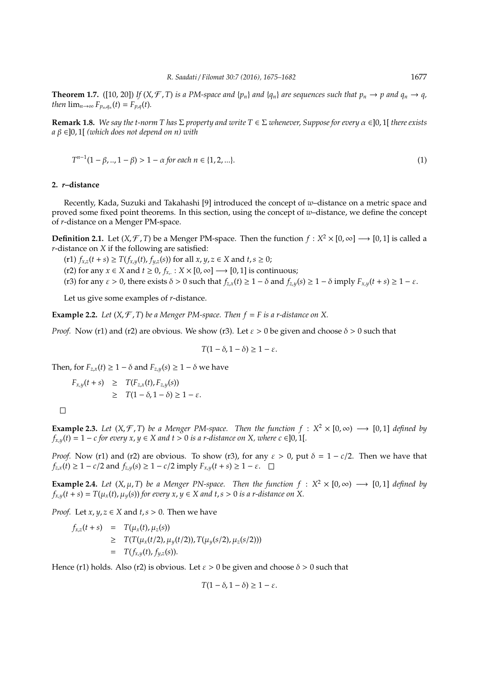**Theorem 1.7.** ([10, 20]) If  $(X, \mathcal{F}, T)$  is a PM-space and  $\{p_n\}$  and  $\{q_n\}$  are sequences such that  $p_n \to p$  and  $q_n \to q$ , *then*  $\lim_{n\to\infty} F_{p_n,q_n}(t) = F_{p,q}(t)$ .

**Remark 1.8.** *We say the t-norm T has*  $\Sigma$  *property and write*  $T \in \Sigma$  *whenever, Suppose for every*  $\alpha \in ]0,1[$  *there exists a* β ∈]0, 1[ *(which does not depend on n) with*

$$
T^{n-1}(1 - \beta, \dots, 1 - \beta) > 1 - \alpha \text{ for each } n \in \{1, 2, \dots\}.
$$
 (1)

## **2.** *r***–distance**

Recently, Kada, Suzuki and Takahashi [9] introduced the concept of *w*–distance on a metric space and proved some fixed point theorems. In this section, using the concept of *w*–distance, we define the concept of *r*-distance on a Menger PM-space.

**Definition 2.1.** Let  $(X, \mathcal{F}, T)$  be a Menger PM-space. Then the function  $f : X^2 \times [0, \infty] \longrightarrow [0, 1]$  is called a *r*-distance on *X* if the following are satisfied:

(r1) *f*<sub>*x*,*z*</sub>(*t* + *s*) ≥ *T*(*f*<sub>*x*,*y*</sub>(*t*), *f*<sub>*y*,*z*</sub>(*s*)) for all *x*, *y*, *z* ∈ *X* and *t*, *s* ≥ 0;

(r2) for any *x* ∈ *X* and *t* ≥ 0,  $f_{x_r}$  : *X* × [0, ∞] → [0, 1] is continuous;

(r3) for any  $\varepsilon > 0$ , there exists  $\delta > 0$  such that  $f_{z,x}(t) \ge 1 - \delta$  and  $f_{z,y}(s) \ge 1 - \delta$  imply  $F_{x,y}(t+s) \ge 1 - \varepsilon$ .

Let us give some examples of *r*-distance.

**Example 2.2.** Let  $(X, \mathcal{F}, T)$  be a Menger PM-space. Then  $f = F$  is a r-distance on X.

*Proof.* Now (r1) and (r2) are obvious. We show (r3). Let  $\varepsilon > 0$  be given and choose  $\delta > 0$  such that

$$
T(1-\delta, 1-\delta) \geq 1-\varepsilon.
$$

Then, for  $F_{z,x}(t) \geq 1 - \delta$  and  $F_{z,y}(s) \geq 1 - \delta$  we have

$$
F_{x,y}(t+s) \geq T(F_{z,x}(t), F_{z,y}(s))
$$
  
 
$$
\geq T(1-\delta, 1-\delta) \geq 1-\varepsilon.
$$

 $\Box$ 

**Example 2.3.** *Let*  $(X, \mathcal{F}, T)$  *be a Menger PM-space. Then the function*  $f : X^2 \times [0, \infty) \longrightarrow [0, 1]$  *defined by*  $f_{x,y}(t) = 1 - c$  *for every*  $x, y \in X$  *and*  $t > 0$  *is a r-distance on X, where*  $c \in ]0,1[$ *.* 

*Proof.* Now (r1) and (r2) are obvious. To show (r3), for any  $\varepsilon > 0$ , put  $\delta = 1 - c/2$ . Then we have that  $f_{z,x}(t) \geq 1 - c/2$  and  $f_{z,y}(s) \geq 1 - c/2$  imply  $F_{x,y}(t+s) \geq 1 - \varepsilon$ .

**Example 2.4.** *Let*  $(X, \mu, T)$  *be a Menger PN-space. Then the function*  $f : X^2 \times [0, \infty) \longrightarrow [0, 1]$  *defined by*  $f_{x,y}(t+s) = T(\mu_x(t), \mu_y(s))$  *for every x, y* ∈ *X and t,s* > 0 *is a r-distance on X*.

*Proof.* Let *x*,  $y$ ,  $z \in X$  and  $t$ ,  $s > 0$ . Then we have

$$
f_{x,z}(t+s) = T(\mu_x(t), \mu_z(s))
$$
  
\n
$$
\geq T(T(\mu_x(t/2), \mu_y(t/2)), T(\mu_y(s/2), \mu_z(s/2)))
$$
  
\n
$$
= T(f_{x,y}(t), f_{y,z}(s)).
$$

Hence (r1) holds. Also (r2) is obvious. Let  $\varepsilon > 0$  be given and choose  $\delta > 0$  such that

$$
T(1-\delta, 1-\delta) \geq 1-\varepsilon.
$$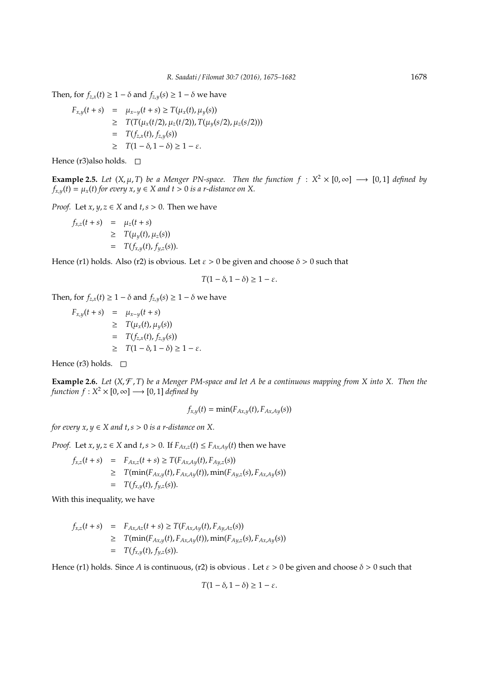Then, for  $f_{z,x}(t) \geq 1 - \delta$  and  $f_{z,y}(s) \geq 1 - \delta$  we have

$$
F_{x,y}(t+s) = \mu_{x-y}(t+s) \ge T(\mu_x(t), \mu_y(s))
$$
  
\n
$$
\ge T(T(\mu_x(t/2), \mu_z(t/2)), T(\mu_y(s/2), \mu_z(s/2)))
$$
  
\n
$$
= T(f_{z,x}(t), f_{z,y}(s))
$$
  
\n
$$
\ge T(1 - \delta, 1 - \delta) \ge 1 - \varepsilon.
$$

Hence (r3)also holds.  $\square$ 

**Example 2.5.** *Let*  $(X, \mu, T)$  *be a Menger PN-space. Then the function*  $f : X^2 \times [0, \infty] \longrightarrow [0, 1]$  *defined by*  $f_{x,y}(t) = \mu_x(t)$  *for every x*,  $y \in X$  *and t* > 0 *is a r-distance on* X.

*Proof.* Let *x*,  $y$ ,  $z \in X$  and  $t$ ,  $s > 0$ . Then we have

$$
f_{x,z}(t+s) = \mu_z(t+s)
$$
  
\n
$$
\geq T(\mu_y(t), \mu_z(s))
$$
  
\n
$$
= T(f_{x,y}(t), f_{y,z}(s)).
$$

Hence (r1) holds. Also (r2) is obvious. Let  $\varepsilon > 0$  be given and choose  $\delta > 0$  such that

$$
T(1-\delta, 1-\delta) \geq 1-\varepsilon.
$$

Then, for  $f_{z,x}(t) \geq 1 - \delta$  and  $f_{z,y}(s) \geq 1 - \delta$  we have

$$
F_{x,y}(t+s) = \mu_{x-y}(t+s)
$$
  
\n
$$
\geq T(\mu_x(t), \mu_y(s))
$$
  
\n
$$
= T(f_{z,x}(t), f_{z,y}(s))
$$
  
\n
$$
\geq T(1-\delta, 1-\delta) \geq 1-\varepsilon.
$$

Hence (r3) holds.  $\square$ 

**Example 2.6.** *Let* (*X*, F , *T*) *be a Menger PM-space and let A be a continuous mapping from X into X. Then the function f* :  $X^2 \times [0, \infty] \longrightarrow [0, 1]$  *defined by* 

$$
f_{x,y}(t) = \min(F_{Ax,y}(t), F_{Ax,Ay}(s))
$$

*for every*  $x, y \in X$  *and*  $t, s > 0$  *<i>is a r-distance on* X.

*Proof.* Let *x*, *y*, *z*  $\in$  *X* and *t*,*s*  $> 0$ . If  $F_{Ax,z}(t) \le F_{Ax,Ay}(t)$  then we have

$$
f_{x,z}(t+s) = F_{Ax,z}(t+s) \geq T(F_{Ax,Ay}(t), F_{Ay,z}(s))
$$
  
\n
$$
\geq T(\min(F_{Ax,y}(t), F_{Ax,Ay}(t)), \min(F_{Ay,z}(s), F_{Ax,Ay}(s)))
$$
  
\n
$$
= T(f_{x,y}(t), f_{y,z}(s)).
$$

With this inequality, we have

$$
f_{x,z}(t+s) = F_{Ax,Az}(t+s) \geq T(F_{Ax,Ay}(t), F_{Ay,Az}(s))
$$
  
\n
$$
\geq T(\min(F_{Ax,y}(t), F_{Ax,Ay}(t)), \min(F_{Ay,z}(s), F_{Ax,Ay}(s)))
$$
  
\n
$$
= T(f_{x,y}(t), f_{y,z}(s)).
$$

Hence (r1) holds. Since *A* is continuous, (r2) is obvious . Let  $\varepsilon > 0$  be given and choose  $\delta > 0$  such that

$$
T(1-\delta, 1-\delta) \geq 1-\varepsilon.
$$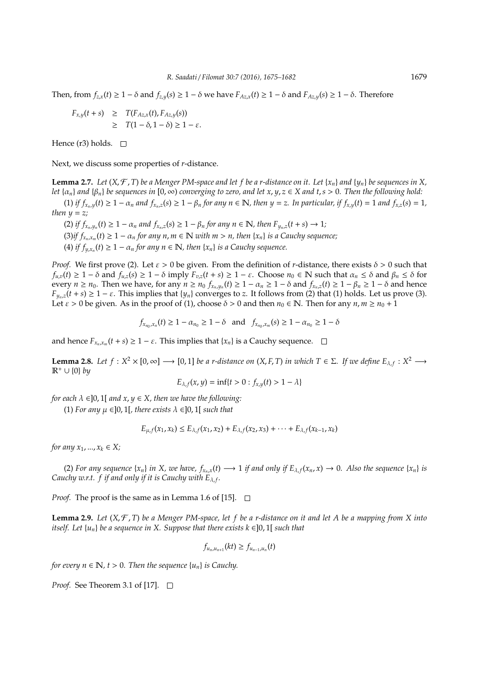Then, from  $f_{zx}(t) \geq 1 - \delta$  and  $f_{zy}(s) \geq 1 - \delta$  we have  $F_{Az,x}(t) \geq 1 - \delta$  and  $F_{Az,y}(s) \geq 1 - \delta$ . Therefore

$$
F_{x,y}(t+s) \geq T(F_{Az,x}(t), F_{Az,y}(s))
$$
  
 
$$
\geq T(1-\delta, 1-\delta) \geq 1-\varepsilon.
$$

Hence (r3) holds.  $\square$ 

Next, we discuss some properties of *r*-distance.

**Lemma 2.7.** Let  $(X, \mathcal{F}, T)$  be a Menger PM-space and let f be a r-distance on it. Let  $\{x_n\}$  and  $\{y_n\}$  be sequences in X, *let*  $\{\alpha_n\}$  *and*  $\{\beta_n\}$  *be sequences in* [0, ∞) *converging to zero, and let x*, *y*, *z* ∈ *X and t*, *s* > 0. *Then the following hold:* 

(1) if  $f_{x_n,y}(t) \geq 1 - \alpha_n$  and  $f_{x_n,z}(s) \geq 1 - \beta_n$  for any  $n \in \mathbb{N}$ , then  $y = z$ . In particular, if  $f_{x,y}(t) = 1$  and  $f_{x,z}(s) = 1$ , *then*  $y = z$ *;* 

(2) if  $f_{x_n,y_n}(t) \geq 1 - \alpha_n$  and  $f_{x_n,z}(s) \geq 1 - \beta_n$  for any  $n \in \mathbb{N}$ , then  $F_{y_n,z}(t+s) \to 1$ ;  $(3)$ *if*  $f_{x_n,x_m}(t) \geq 1 - \alpha_n$  for any  $n, m \in \mathbb{N}$  with  $m > n$ , then  $\{x_n\}$  *is a Cauchy sequence*; (4) *if*  $f_{y,x_n}(t) \geq 1 - \alpha_n$  *for any n*  $\in \mathbb{N}$ *, then*  $\{x_n\}$  *is a Cauchy sequence.* 

*Proof.* We first prove (2). Let *ε* > 0 be given. From the definition of *r*-distance, there exists  $δ$  > 0 such that *f*<sub>*u*,*v*</sub>(*t*) ≥ 1 − δ and *f*<sub>*u*,*z*</sub>(*s*) ≥ 1 − δ imply *F*<sub>*v*,*z*</sub>(*t* + *s*) ≥ 1 − ε. Choose *n*<sub>0</sub> ∈ N such that  $\alpha_n \leq \delta$  and  $\beta_n \leq \delta$  for every  $n \ge n_0$ . Then we have, for any  $n \ge n_0$   $f_{x_n,y_n}(t) \ge 1 - \alpha_n \ge 1 - \delta$  and  $f_{x_n,z}(t) \ge 1 - \beta_n \ge 1 - \delta$  and hence  $F_{y_n,z}(t+s) \geq 1-\varepsilon$ . This implies that {*y<sub>n</sub>*} converges to *z*. It follows from (2) that (1) holds. Let us prove (3). Let  $\varepsilon > 0$  be given. As in the proof of (1), choose  $\delta > 0$  and then  $n_0 \in \mathbb{N}$ . Then for any  $n, m \ge n_0 + 1$ 

$$
f_{x_{n_0},x_n}(t) \ge 1 - \alpha_{n_0} \ge 1 - \delta
$$
 and  $f_{x_{n_0},x_m}(s) \ge 1 - \alpha_{n_0} \ge 1 - \delta$ 

and hence  $F_{x_n,x_m}(t+s) \geq 1-\varepsilon$ . This implies that  $\{x_n\}$  is a Cauchy sequence.

**Lemma 2.8.** Let  $f: X^2 \times [0, \infty] \longrightarrow [0, 1]$  be a r-distance on  $(X, F, T)$  in which  $T \in \Sigma$ . If we define  $E_{\lambda, f}: X^2 \longrightarrow$ R<sup>+</sup> ∪ {0} *by*

$$
E_{\lambda,f}(x,y) = \inf\{t > 0 : f_{x,y}(t) > 1 - \lambda\}
$$

*for each*  $\lambda \in ]0,1[$  *and*  $x, y \in X$ *, then we have the following:* 

(1) For any  $\mu \in ]0,1[$ , there exists  $\lambda \in ]0,1[$  such that

$$
E_{\mu,f}(x_1,x_k) \leq E_{\lambda,f}(x_1,x_2) + E_{\lambda,f}(x_2,x_3) + \cdots + E_{\lambda,f}(x_{k-1},x_k)
$$

*for any*  $x_1, ..., x_k \in X$ ;

(2) For any sequence  $\{x_n\}$  in X, we have,  $f_{x_n,x}(t) \longrightarrow 1$  if and only if  $E_{\lambda,f}(x_n,x) \to 0$ . Also the sequence  $\{x_n\}$  is Cauchy w.r.t.  $f$  if and only if it is Cauchy with  $E_{\lambda,f}$ .

*Proof.* The proof is the same as in Lemma 1.6 of [15].  $\Box$ 

**Lemma 2.9.** *Let* (*X*, F , *T*) *be a Menger PM-space, let f be a r-distance on it and let A be a mapping from X into itself.* Let  $\{u_n\}$  *be a sequence in X. Suppose that there exists*  $k \in ]0,1[$  *such that* 

$$
f_{u_n,u_{n+1}}(kt)\geq f_{u_{n-1},u_n}(t)
$$

*for every*  $n \in \mathbb{N}$ ,  $t > 0$ . Then the sequence  $\{u_n\}$  is Cauchy.

*Proof.* See Theorem 3.1 of [17]. □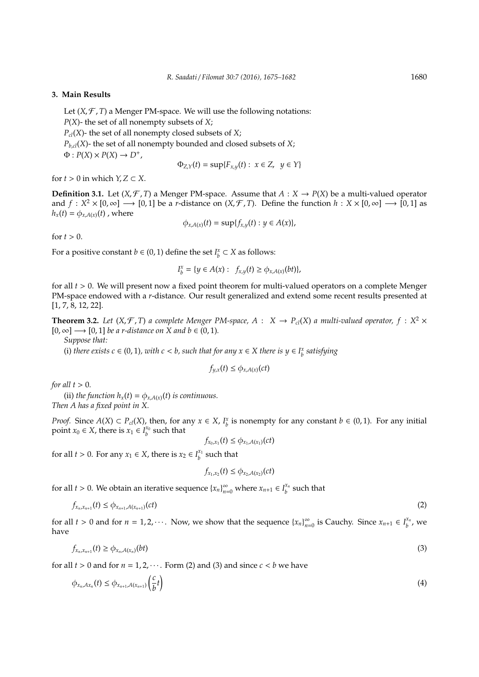### **3. Main Results**

Let  $(X, \mathcal{F}, T)$  a Menger PM-space. We will use the following notations:

*P*(*X*)- the set of all nonempty subsets of *X*;

 $P_{cl}(X)$ - the set of all nonempty closed subsets of *X*;

 $P_{b,cl}(X)$ - the set of all nonempty bounded and closed subsets of *X*;

 $\Phi: P(X) \times P(X) \rightarrow D^+$ 

$$
\Phi_{Z,Y}(t) = \sup \{ F_{x,y}(t) : x \in Z, y \in Y \}
$$

for  $t > 0$  in which  $Y, Z \subset X$ .

**Definition 3.1.** Let  $(X, \mathcal{F}, T)$  a Menger PM-space. Assume that  $A : X \rightarrow P(X)$  be a multi-valued operator and  $f: X^2 \times [0, \infty] \longrightarrow [0, 1]$  be a *r*-distance on  $(X, \mathcal{F}, T)$ . Define the function  $h: X \times [0, \infty] \longrightarrow [0, 1]$  as  $h_x(t) = \phi_{x,A(x)}(t)$ , where

$$
\phi_{x,A(x)}(t)=\sup\{f_{x,y}(t):y\in A(x)\},\
$$

for  $t > 0$ .

For a positive constant *b*  $\in$  (0, 1) define the set *I*<sub>*b*</sub></sub>  $\subset$  *X* as follows:

$$
I_b^x = \{ y \in A(x) : f_{x,y}(t) \ge \phi_{x,A(x)}(bt) \},
$$

for all *t* > 0. We will present now a fixed point theorem for multi-valued operators on a complete Menger PM-space endowed with a *r*-distance. Our result generalized and extend some recent results presented at [1, 7, 8, 12, 22].

**Theorem 3.2.** Let  $(X, \mathcal{F}, T)$  a complete Menger PM-space,  $A : X \to P_{cl}(X)$  a multi-valued operator,  $f : X^2 \times Y$  $[0, \infty] \longrightarrow [0, 1]$  *be a r-distance on X and b*  $\in (0, 1)$ *.* 

*Suppose that:*

(i) *there exists c*  $\in$  (0, 1), *with c* < *b*, *such that for any*  $x \in X$  *there is*  $y \in I_b^x$  *satisfying* 

$$
f_{y,x}(t) \le \phi_{x,A(x)}(ct)
$$

*for all*  $t > 0$ *.* 

(ii) *the function*  $h_x(t) = \phi_{x,A(x)}(t)$  *is continuous. Then A has a fixed point in X.*

*Proof.* Since  $A(X) \subset P_d(X)$ , then, for any  $x \in X$ ,  $I_b^x$  is nonempty for any constant  $b \in (0, 1)$ . For any initial point *x*<sup>0</sup> ∈ *X*, there is *x*<sup>1</sup> ∈ *I*<sup>*x*<sup>0</sup></sup> *s*uch that

$$
f_{x_0,x_1}(t) \leq \phi_{x_1,A(x_1)}(ct)
$$

for all *t* > 0. For any  $x_1 \in X$ , there is  $x_2 \in I_b^{x_1}$  such that

$$
f_{x_1,x_2}(t) \leq \phi_{x_2,A(x_2)}(ct)
$$

for all *t* > 0. We obtain an iterative sequence  $\{x_n\}_{n=0}^{\infty}$  where  $x_{n+1} \in I_b^{x_n}$  $\boldsymbol{h}^{\boldsymbol{x}_n}$  such that

$$
f_{x_n,x_{n+1}}(t) \le \phi_{x_{n+1},A(x_{n+1})}(ct) \tag{2}
$$

for all *t* > 0 and for *n* = 1, 2,  $\cdots$ . Now, we show that the sequence  $\{x_n\}_{n=1}^{\infty}$  $\sum_{n=0}^{\infty}$  is Cauchy. Since  $x_{n+1} \in I_b^{x_n}$  $\int_b^{\chi_n}$ , we have

$$
f_{x_n,x_{n+1}}(t) \geq \phi_{x_n,A(x_n)}(bt) \tag{3}
$$

for all  $t > 0$  and for  $n = 1, 2, \dots$ . Form (2) and (3) and since  $c < b$  we have

$$
\phi_{x_n, Ax_n}(t) \leq \phi_{x_{n+1}, A(x_{n+1})} \left( \frac{c}{b} t \right)
$$
\n
$$
\tag{4}
$$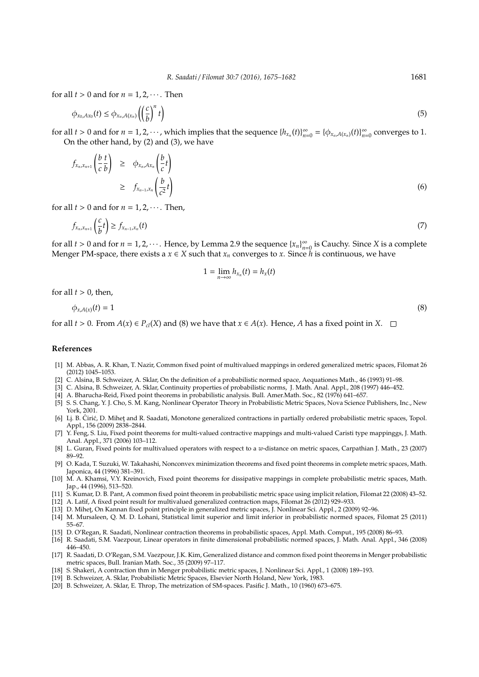for all  $t > 0$  and for  $n = 1, 2, \dots$ . Then

$$
\phi_{x_0, Ax_0}(t) \le \phi_{x_n, A(x_n)} \left( \left( \frac{c}{b} \right)^n t \right) \tag{5}
$$

for all *t* > 0 and for *n* = 1, 2, · · · , which implies that the sequence  ${h_{x_n}(t)}_{n=1}^{\infty}$  $\sum_{n=0}^{\infty} = {\{\phi_{x_n,A(x_n)}(t)\}}_{n=0}^{\infty}$  $\sum_{n=0}^{\infty}$  converges to 1. On the other hand, by (2) and (3), we have

$$
f_{x_n,x_{n+1}}\left(\frac{b}{c}\frac{t}{b}\right) \geq \phi_{x_n,Ax_n}\left(\frac{b}{c}t\right)
$$
  
 
$$
\geq f_{x_{n-1},x_n}\left(\frac{b}{c^2}t\right)
$$
 (6)

for all  $t > 0$  and for  $n = 1, 2, \cdots$ . Then,

$$
f_{x_n,x_{n+1}}\left(\frac{c}{b}t\right) \ge f_{x_{n-1},x_n}(t) \tag{7}
$$

for all  $t > 0$  and for  $n = 1, 2, \cdots$ . Hence, by Lemma 2.9 the sequence  $\{x_n\}_{n=1}^{\infty}$  $\sum_{n=0}^{\infty}$  is Cauchy. Since *X* is a complete Menger PM-space, there exists a  $x \in X$  such that  $x_n$  converges to  $x$ . Since  $\overline{h}$  is continuous, we have

$$
1=\lim_{n\to\infty}h_{x_n}(t)=h_x(t)
$$

for all  $t > 0$ , then,

$$
\phi_{x,A(x)}(t) = 1 \tag{8}
$$

for all  $t > 0$ . From  $A(x) \in P_{cl}(X)$  and (8) we have that  $x \in A(x)$ . Hence, *A* has a fixed point in *X*.  $\square$ 

### **References**

- [1] M. Abbas, A. R. Khan, T. Nazir, Common fixed point of multivalued mappings in ordered generalized metric spaces, Filomat 26 (2012) 1045–1053.
- [2] C. Alsina, B. Schweizer, A. Sklar, On the definition of a probabilistic normed space, Aequationes Math., 46 (1993) 91–98.
- [3] C. Alsina, B. Schweizer, A. Sklar, Continuity properties of probabilistic norms, J. Math. Anal. Appl., 208 (1997) 446–452.
- [4] A. Bharucha-Reid, Fixed point theorems in probabilistic analysis. Bull. Amer.Math. Soc., 82 (1976) 641–657.
- [5] S. S. Chang, Y. J. Cho, S. M. Kang, Nonlinear Operator Theory in Probabilistic Metric Spaces, Nova Science Publishers, Inc., New York, 2001.
- [6] Lj. B. Ćirić, D. Mihet and R. Saadati, Monotone generalized contractions in partially ordered probabilistic metric spaces, Topol. Appl., 156 (2009) 2838–2844.
- [7] Y. Feng, S. Liu, Fixed point theorems for multi-valued contractive mappings and multi-valued Caristi type mappinggs, J. Math. Anal. Appl., 371 (2006) 103–112.
- [8] L. Guran, Fixed points for multivalued operators with respect to a *w*-distance on metric spaces, Carpathian J. Math., 23 (2007) 89–92.
- [9] O. Kada, T. Suzuki, W. Takahashi, Nonconvex minimization theorems and fixed point theorems in complete metric spaces, Math. Japonica, 44 (1996) 381–391.
- [10] M. A. Khamsi, V.Y. Kreinovich, Fixed point theorems for dissipative mappings in complete probabilistic metric spaces, Math. Jap., 44 (1996), 513–520.
- [11] S. Kumar, D. B. Pant, A common fixed point theorem in probabilistic metric space using implicit relation, Filomat 22 (2008) 43–52.
- [12] A. Latif, A fixed point result for multivalued generalized contraction maps, Filomat 26 (2012) 929–933.
- [13] D. Mihet, On Kannan fixed point principle in generalized metric spaces, J. Nonlinear Sci. Appl., 2 (2009) 92-96
- [14] M. Mursaleen, Q. M. D. Lohani, Statistical limit superior and limit inferior in probabilistic normed spaces, Filomat 25 (2011) 55–67.
- [15] D. O'Regan, R. Saadati, Nonlinear contraction theorems in probabilistic spaces, Appl. Math. Comput., 195 (2008) 86–93.
- [16] R. Saadati, S.M. Vaezpour, Linear operators in finite dimensional probabilistic normed spaces, J. Math. Anal. Appl., 346 (2008) 446–450.
- [17] R. Saadati, D. O'Regan, S.M. Vaezpour, J.K. Kim, Generalized distance and common fixed point theorems in Menger probabilistic metric spaces, Bull. Iranian Math. Soc., 35 (2009) 97–117.
- [18] S. Shakeri, A contraction thm in Menger probabilistic metric spaces, J. Nonlinear Sci. Appl., 1 (2008) 189–193.
- [19] B. Schweizer, A. Sklar, Probabilistic Metric Spaces, Elsevier North Holand, New York, 1983.
- [20] B. Schweizer, A. Sklar, E. Throp, The metrization of SM-spaces. Pasific J. Math., 10 (1960) 673–675.